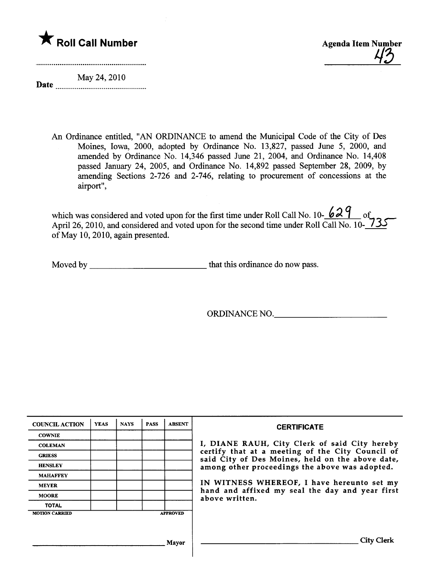



Date  $\frac{1}{1}$ May 24, 2010

> An Ordinance entitled, "AN ORDINANCE to amend the Muncipal Code of the City of Des Moines, Iowa, 2000, adopted by Ordinance No. 13,827, passed June 5, 2000, and amended by Ordinance No. 14,346 passed June 21, 2004, and Ordinance No. 14,408 passed January 24, 2005, and Ordinance No. 14,892 passed September 28, 2009, by amending Sections 2-726 and 2-746, relating to procurement of concessions at the airport",

which was considered and voted upon for the first time under Roll Call No.  $10-68$   $\mu$  of April 26, 2010, and considered and voted upon for the second time under Roll Call No. 10- $\sqrt{3}$ of May 10, 2010, again presented.

Moved by that this ordinance do now pass.

ORDINANCE NO.

| <b>COUNCIL ACTION</b> | <b>YEAS</b> | <b>NAYS</b> | <b>PASS</b> | <b>ABSENT</b>   | <b>CERTIFICATE</b>                                                                                   |
|-----------------------|-------------|-------------|-------------|-----------------|------------------------------------------------------------------------------------------------------|
| <b>COWNIE</b>         |             |             |             |                 |                                                                                                      |
| <b>COLEMAN</b>        |             |             |             |                 | I, DIANE RAUH, City Clerk of said City hereby                                                        |
| <b>GRIESS</b>         |             |             |             |                 | certify that at a meeting of the City Council of<br>said City of Des Moines, held on the above date, |
| <b>HENSLEY</b>        |             |             |             |                 | among other proceedings the above was adopted.                                                       |
| <b>MAHAFFEY</b>       |             |             |             |                 |                                                                                                      |
| <b>MEYER</b>          |             |             |             |                 | IN WITNESS WHEREOF, I have hereunto set my                                                           |
| <b>MOORE</b>          |             |             |             |                 | hand and affixed my seal the day and year first<br>above written.                                    |
| <b>TOTAL</b>          |             |             |             |                 |                                                                                                      |
| <b>MOTION CARRIED</b> |             |             |             | <b>APPROVED</b> |                                                                                                      |
|                       |             |             |             |                 |                                                                                                      |
|                       |             |             |             |                 |                                                                                                      |
|                       |             |             |             | Mavor           | City Clerk                                                                                           |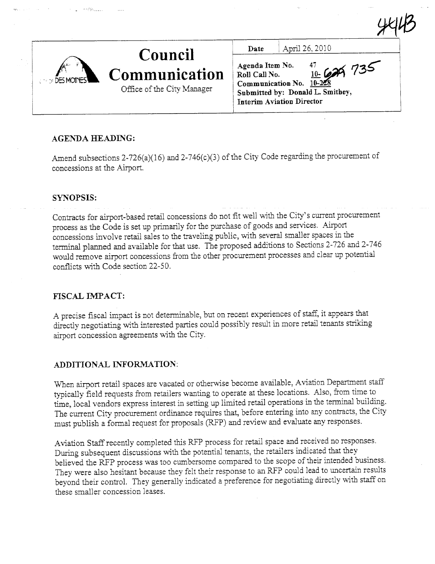| <b>CONDITIONS</b> | Council                                     | Date | April 26, 2010                                                                                                                 |
|-------------------|---------------------------------------------|------|--------------------------------------------------------------------------------------------------------------------------------|
|                   | Communication<br>Office of the City Manager |      | $\frac{4}{10}$ Communication No. $\frac{10}{10-228}$<br>Sommunication No. $\frac{10-228}{10-228}$<br>Interim Aviation Director |

 $U$ 

## AGENDA HEADING:

Amend subsections  $2-726(a)(16)$  and  $2-746(c)(3)$  of the City Code regarding the procurement of concessions at the Airport.

#### SYNOPSIS:

Contracts for airport-based retail concessions do not fit well with the City's current procurement process as the Code is set up primarily for the purchase of goods and services. Airport concessions involve retail sales to the traveling public, with several smaller spaces in the terminal planned and available for that use. The proposed additions to Sections 2-726 and 2-746 would remove airort concessions from the other procurement processes and clear up potential conficts with Code section 22-50.

## FISCAL IMPACT:

A precise fiscal impact is not determinable, but on recent experiences of staff, it appears that directly negotiating with interested parties could possibly result in more retail tenants striking airport concession agreements with the City.

#### ADDITIONAL INFORMATION:

When airport retail spaces are vacated or otherwise become available, Aviation Department staff typically field requests from retailers wanting to operate at these locations. Also, from time to time, local vendors express interest in setting up limited retail operations in the terminal building. The current City procurement ordinance requires that, before entering into any contracts, the City must publish a formal request for proposals (RP) and review and evaluate any responses.

Aviation Staff recently completed this RFP process for retail space and received no responses. During subsequent discussions with the potential tenants, the retailers indicated that they believed the RFP process was too cumbersome compared to the scope of their intended business. They were also hesitant because they felt their response to an RFP could lead to uncertain results beyond their control. They generally indicated a preference for negotiating directly with staff on these smaller concession leases.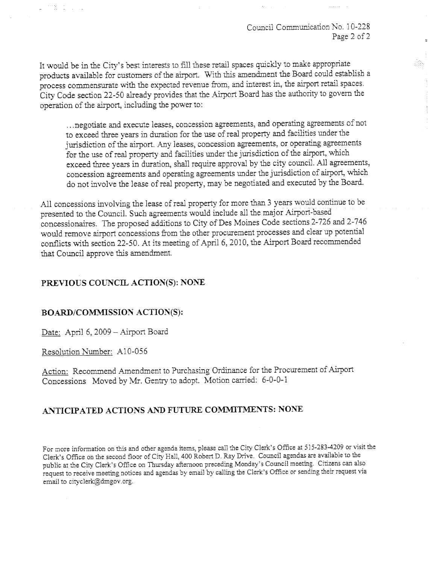Council Communication No. 10-228 Page 2 of 2

 $\overline{z}$ 

Ť.

śh.

It would be in the City's best interests to fill these retail spaces quickly to make appropriate products available for customers of the airport. With this amendment the Board could establish a process commensurate with the expected revenue from, and interest in, the airort retail spaces. City Code section 22-50 already provides that the Airport Board has the authority to govern the operation of the airport, including the power to:

. . . negotiate and execute leases, concession agreements, and operatig agreements of not to exceed three years in duration for the use of real property and facilities under the jurisdiction of the airport. Any leases, concession agreements, or operating agreements for the use of real property and facilities under the jurisdiction of the airport, which exceed three years in duration, shall require approval by the city council. All agreements, concession agreements and operating agreements under the jurisdiction of airport, which do not involve the lease of real property, may be negotiated and executed by the Board.

All concessions involving the lease of real property for more than 3 years would continue to be presented to the Council. Such agreements would include all the major Airport-based concessionaires. The proposed additions to City of Des Moines Code sections 2-726 and 2-746 would remove airport concessions from the other procurement processes and clear up potential conflicts with section 22-50. At its meeting of April 6, 2010, the Airport Board recommended that Council approve this amendment.

### PREVIOUS COUNCIL ACTION(S): NONE

#### BOARD/COMMISSION ACTION(S):

Date: April 6, 2009 - Airport Board

Resolution Number: AI0-056

2002年1月11日

Action: Recommend Amendment to Purchasing Ordinance for the Procurement of Airport Concessions Moved by Mr. Gentry to adopt. Motion carried: 6-0-0-1

# ANTICIPATED ACTIONS AND FUTURE COMMITMENTS: NONE

For more information on this and other agenda items, please call the City Clerk's Office at 515-283-4209 or visit the Clerk's Office on the second floor of City Hall, 400 Robert D. Ray Drive. Council agendas are available to the public at the City Clerk's Office on Thursday afternoon preceding Monday's Council meeting. Citizens can also request to receive meeting notices and agendas by email by calling the Clerk's Office or sending their request via email to cityclerk@dmgov.org.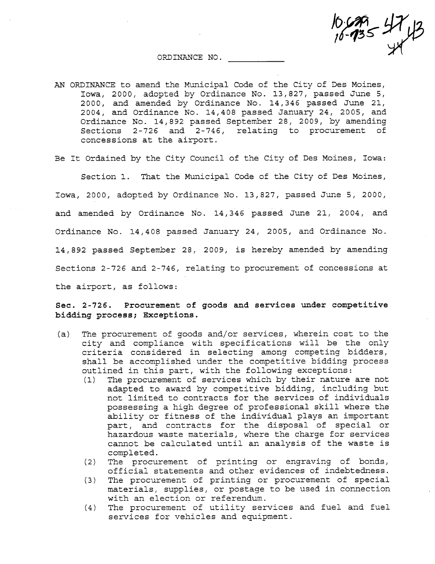ORDINANCE NO.

AN ORDINANCE to amend the Municipal Code of the City of Des Moines, Iowa, 2000, adopted by Ordinance No. 13,827, passed June 5, 2000, and amended by Ordinance No. 14,346 passed June 21,  $2004$ , and Ordinance No. 14,408 passed January 24, 2005, and Ordinance No. 14,892 passed September 28, 2009, by amending Sections  $2-726$  and  $2-746$ , relating to procurement of concessions at the airport.

 $735^{+11}$ 

Be It Ordained by the City Council of the City of Des Moines, Iowa:

Section 1. That the Municipal Code of the City of Des Moines, Iowa, 2000, adopted by Ordinance No. 13,827, passed June 5, 2000, and amended by Ordinance No.  $14,346$  passed June 21, 2004, and Ordinance No. 14,408 passed January 24, 2005, and Ordinance No. 14,892 passed September 28, 2009, is hereby amended by amending Sections 2-726 and 2-746, relating to procurement of concessions at the airport, as follows:

Sec. 2-726. Procurement of goods and services under competitive bidding process; Exceptions.

- $(a)$  The procurement of goods and/or services, wherein cost to the city and compliance with specifications will be the only criteria considered in selecting among competing bidders, shall be accomplished under the competitive bidding process outlined in this part, with the following exceptions:<br>(1) The procurement of services which by their nature are not
	- (1) The procurement of services which by their nature are not adapted to award by competi ti ve bidding i including but not limited to contracts for the services of individuals possessing a high degree of professional skill where the ability or fitness of the individual plays an important<br>part, and contracts for the disposal of special or hazardous waste materials, where the charge for services cannot be calculated until an analysis of the waste is completed.
	- $(2)$  The procurement of printing or engraving of bonds, official statements and other evidences of indebtedness.
	- (3) The procurement of printing or procurement of special materials, supplies, or postage to be used in connection with an election or referendum.
	- (4) The procurement of utility services and fuel and fuel services for vehicles and equipment.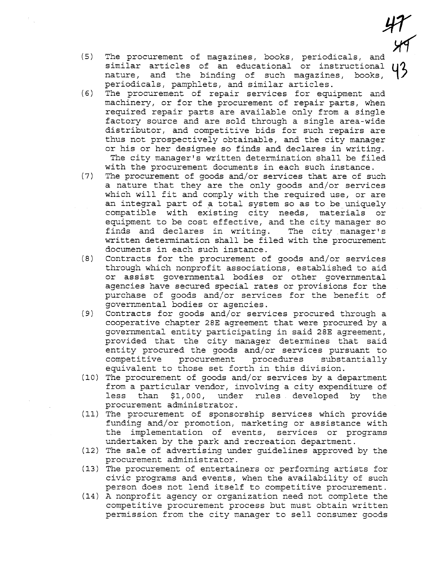$(5)$ The procurement of magazines, books, periodicals, and similar articles of an educational or instructional nature, and the binding of such magazines, books, periodicals, pamphlets, and similar articles.

 $47$ 

4<br>49

93

- $(6)$ The procurement of repair services for equipment and machinery, or for the procurement of repair parts, when required repair parts are available only from a single factory source and are sold through a single area-wide distributor, and competitive bids for such repairs are thus not prospectively obtainable, and the city manager or his or her designee so finds and declares in writing. The city manager's written determination shall be filed with the procurement documents in each such instance.
- $(7)$ The procurement of goods and/or services that are of such a nature that they are the only goods and/or services which will fit and comply with the required use, or are an integral part of a total system so as to be uniquely compatible with existing city needs, materials or equipment to be cost effective, and the city manager so finds and declares in writing. The city manager's written determination shall be filed with the procurement documents in each such instance.
- $(8)$ Contracts for the procurement of goods and/or services through which nonprofit associations, established to aid or assist governmental bodies or other governmental agencies have secured special rates or provisions for the purchase of goods and/or services for the benefit of governmental bodies or agencies.
- $(9)$ Contracts for goods and/or services procured through a cooperative chapter 28E agreement that were procured by a governmental entity participating in said 28E agreement, provided that the city manager determines that said entity procured the goods and/or services pursuant to competitive procurement procedures substantially equivalent to those set forth in this division.
- (10) The procurement of goods and/or services by a department from a particular vendor, involving a city expenditure of less than \$1,000, under rules developed by the procurement administrator.
- (11) The procurement of sponsorship services which provide funding and/or promotion, marketing or assistance with the implementation of events, services or programs undertaken by the park and recreation department.
- (12) The sale of advertising under guidelines approved by the procurement administrator.
- (13) The procurement of entertainers or performing artists for civic programs and events, when the availability of such person does not lend itself to competitive procurement.
- (14) A nonprofit agency or organization need not complete the competitive procurement process but must obtain written permission from the city manager to sell consumer goods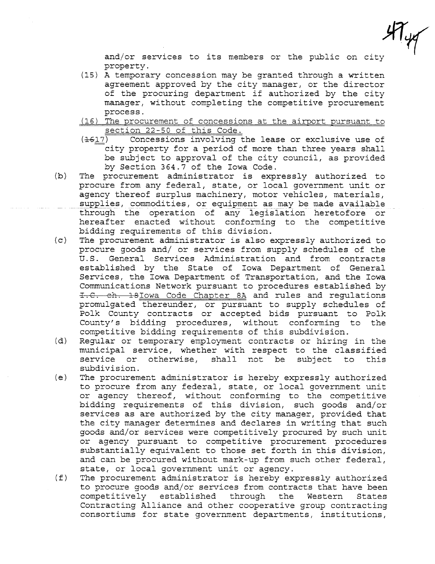$\mathcal{H}_{\psi}$ 

and/or services to its members or the public on city property.

- (15) A temporary concession may be granted through a written agreement approved by the city manager, or the director of the procuring department if authorized by the city manager, without completing the competitive procurement process.
- (16) The procurement of concessions at the airport pursuant to
- section 22-50 of this Code.<br>(1617) Concessions involving the lease or exclusive use of city property for a period of more than three years shall be subject to approval of the city council, as provided by Section 364.7 of the Iowa Code.
- (b) The procurement administrator is expressly authorized to procure from any federal, state, or local government unit or agency thereof surplus machinery, motor vehicles, materials, supplies, commodities, or equipment as may be made available<br>through the operation of any legislation heretofore or hereafter enacted without conforming to the competitive bidding requirements of this division.
- (c) The procurement administrator is also expressly authorized to procure goods and/ or services from supply schedules of the U. S. General Services Administration and from contracts established by the State of Iowa Department of General Services, the Iowa Department of Transportation, and the Iowa Communications Network pursuant to procedures established by I.C. ch. 18Iowa Code Chapter 8A and rules and regulations promulgated thereunder, or pursuant to supply schedules of Polk County contracts or accepted bids pursuant to Polk County's bidding procedures, without conforming to the competitive bidding requirements of this subdivision.
- (d) Regular or temporary employment contracts or hiring in the municipal service, whether with respect to the classified service or otherwise, shall not be subject to this subdivision.
- (e) The procurement administrator is hereby expressly authorized to procure from any federal, state, or local government unit or agency thereof, without conforming to the competitive bidding requirements of this division, such goods and/or services as are authorized by the city manager, provided that the city manager determines and declares in writing that such goods and/or services were competitively procured by such unit or agency pursuant to competitive procurement procedures substantially equivalent to those set forth in this division, and can be procured without mark-up from such other federal, state, or local government unit or agency.
- (f) The procurement administrator is hereby expressly authorized to procure goods and/or services from contracts that have been competitively established through the Western States Contracting Alliance and other cooperative group contracting consortiums for state government departments, institutions,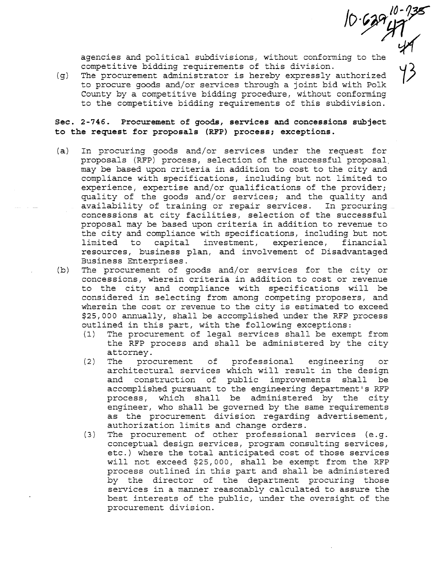$10.629$   $47$ <br> $47$ agencies and political subdivisions, without conforming to the competitive bidding requirements of this division.

 $(g)$  The procurement administrator is hereby expressly authorized to procure goods and/or services through a joint bid with Polk County by a competitive bidding procedure, without conforming to the competitive bidding requirements of this subdivision.

Sec. 2-746. Procurement of goods, services and concessions subject to the request for proposals (RFP) process; exceptions.

- (a) In procuring goods and/or services under the request for proposals (RFP) process, selection of the successful proposal. may be based upon criteria in addition to cost to the city and compliance with specifications, including but not limited to experience, expertise and/or qualifications of the provider; quality of the goods and/or services; and the quality and availability of training or repair services. In procuring concessions at city facilities, selection of the successful proposal may be based upon criteria in addition to revenue to the city and compliance with specifications, including but not limited to capital investment, experience, financial resources, business plan, and involvement of Disadvantaged Business Enterprises.
- (b) The procurement of goods and/or services for the city or concessions, wherein criteria in addition to cost or revenue to the city and compliance with specifications will be considered in selecting from among competing proposers, and wherein the cost or revenue to the city is estimated to exceed \$25,000 annually, shall be accomplished under the RFP process outlined in this part, with the following exceptions:
	- (1) The procurement of legal services shall be exempt from the RFP process and shall be administered by the city
	- attorney. (2) The procurement of professional engineering or architectural services which will result in the design and construction of public improvements shall be accomplished pursuant to the engineering department's RFP process, which shall be administered by the city engineer, who shall be governed by the same requirements as the procurement division regarding advertisement, authorization limits and change orders.
	- (3) The procurement of other professional services (e.g. conceptual design services, program consulting services, etc.) where the total anticipated cost of those services will not exceed \$25,000, shall be exempt from the RFP process outlined in this part and shall be administered by the director of the department procuring those services in a manner reasonably calculated to assure the best interests of the public, under the oversight of the procurement division.